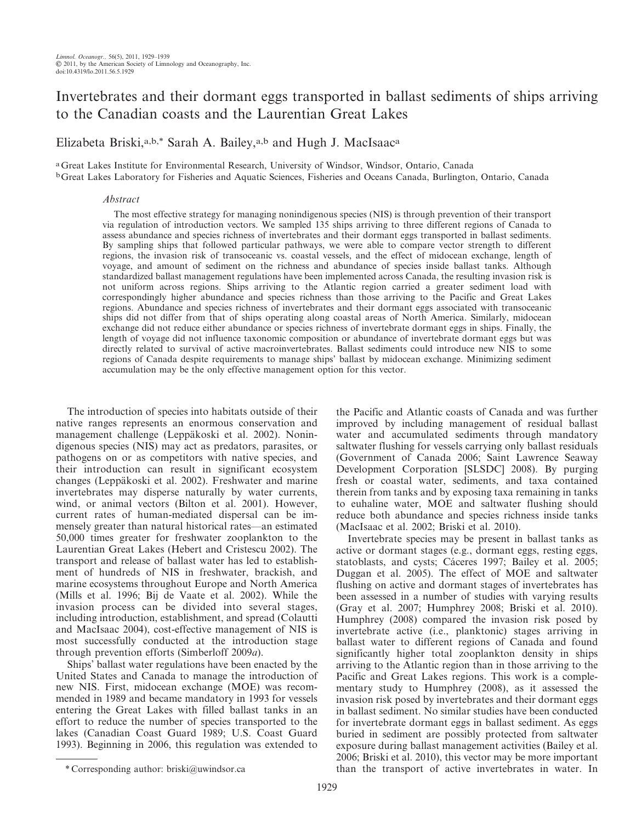# Invertebrates and their dormant eggs transported in ballast sediments of ships arriving to the Canadian coasts and the Laurentian Great Lakes

Elizabeta Briski,a,b,\* Sarah A. Bailey,a,b and Hugh J. MacIsaaca

aGreat Lakes Institute for Environmental Research, University of Windsor, Windsor, Ontario, Canada bGreat Lakes Laboratory for Fisheries and Aquatic Sciences, Fisheries and Oceans Canada, Burlington, Ontario, Canada

#### Abstract

The most effective strategy for managing nonindigenous species (NIS) is through prevention of their transport via regulation of introduction vectors. We sampled 135 ships arriving to three different regions of Canada to assess abundance and species richness of invertebrates and their dormant eggs transported in ballast sediments. By sampling ships that followed particular pathways, we were able to compare vector strength to different regions, the invasion risk of transoceanic vs. coastal vessels, and the effect of midocean exchange, length of voyage, and amount of sediment on the richness and abundance of species inside ballast tanks. Although standardized ballast management regulations have been implemented across Canada, the resulting invasion risk is not uniform across regions. Ships arriving to the Atlantic region carried a greater sediment load with correspondingly higher abundance and species richness than those arriving to the Pacific and Great Lakes regions. Abundance and species richness of invertebrates and their dormant eggs associated with transoceanic ships did not differ from that of ships operating along coastal areas of North America. Similarly, midocean exchange did not reduce either abundance or species richness of invertebrate dormant eggs in ships. Finally, the length of voyage did not influence taxonomic composition or abundance of invertebrate dormant eggs but was directly related to survival of active macroinvertebrates. Ballast sediments could introduce new NIS to some regions of Canada despite requirements to manage ships' ballast by midocean exchange. Minimizing sediment accumulation may be the only effective management option for this vector.

The introduction of species into habitats outside of their native ranges represents an enormous conservation and management challenge (Leppäkoski et al. 2002). Nonindigenous species (NIS) may act as predators, parasites, or pathogens on or as competitors with native species, and their introduction can result in significant ecosystem changes (Leppäkoski et al. 2002). Freshwater and marine invertebrates may disperse naturally by water currents, wind, or animal vectors (Bilton et al. 2001). However, current rates of human-mediated dispersal can be immensely greater than natural historical rates—an estimated 50,000 times greater for freshwater zooplankton to the Laurentian Great Lakes (Hebert and Cristescu 2002). The transport and release of ballast water has led to establishment of hundreds of NIS in freshwater, brackish, and marine ecosystems throughout Europe and North America (Mills et al. 1996; Bij de Vaate et al. 2002). While the invasion process can be divided into several stages, including introduction, establishment, and spread (Colautti and MacIsaac 2004), cost-effective management of NIS is most successfully conducted at the introduction stage through prevention efforts (Simberloff 2009a).

Ships' ballast water regulations have been enacted by the United States and Canada to manage the introduction of new NIS. First, midocean exchange (MOE) was recommended in 1989 and became mandatory in 1993 for vessels entering the Great Lakes with filled ballast tanks in an effort to reduce the number of species transported to the lakes (Canadian Coast Guard 1989; U.S. Coast Guard 1993). Beginning in 2006, this regulation was extended to

the Pacific and Atlantic coasts of Canada and was further improved by including management of residual ballast water and accumulated sediments through mandatory saltwater flushing for vessels carrying only ballast residuals (Government of Canada 2006; Saint Lawrence Seaway Development Corporation [SLSDC] 2008). By purging fresh or coastal water, sediments, and taxa contained therein from tanks and by exposing taxa remaining in tanks to euhaline water, MOE and saltwater flushing should reduce both abundance and species richness inside tanks (MacIsaac et al. 2002; Briski et al. 2010).

Invertebrate species may be present in ballast tanks as active or dormant stages (e.g., dormant eggs, resting eggs, statoblasts, and cysts; Cáceres 1997; Bailey et al. 2005; Duggan et al. 2005). The effect of MOE and saltwater flushing on active and dormant stages of invertebrates has been assessed in a number of studies with varying results (Gray et al. 2007; Humphrey 2008; Briski et al. 2010). Humphrey (2008) compared the invasion risk posed by invertebrate active (i.e., planktonic) stages arriving in ballast water to different regions of Canada and found significantly higher total zooplankton density in ships arriving to the Atlantic region than in those arriving to the Pacific and Great Lakes regions. This work is a complementary study to Humphrey (2008), as it assessed the invasion risk posed by invertebrates and their dormant eggs in ballast sediment. No similar studies have been conducted for invertebrate dormant eggs in ballast sediment. As eggs buried in sediment are possibly protected from saltwater exposure during ballast management activities (Bailey et al. 2006; Briski et al. 2010), this vector may be more important \* Corresponding author: briski@uwindsor.ca than the transport of active invertebrates in water. In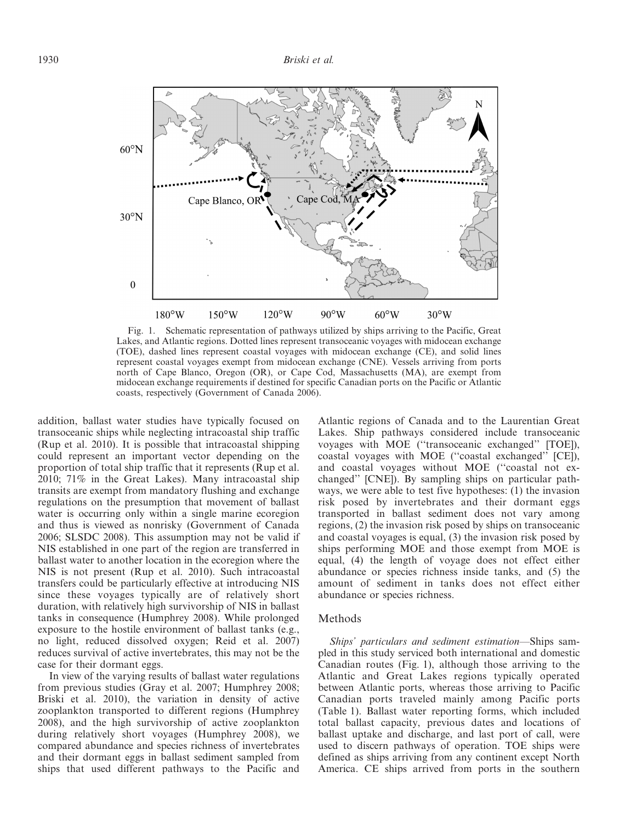

Fig. 1. Schematic representation of pathways utilized by ships arriving to the Pacific, Great Lakes, and Atlantic regions. Dotted lines represent transoceanic voyages with midocean exchange (TOE), dashed lines represent coastal voyages with midocean exchange (CE), and solid lines represent coastal voyages exempt from midocean exchange (CNE). Vessels arriving from ports north of Cape Blanco, Oregon (OR), or Cape Cod, Massachusetts (MA), are exempt from midocean exchange requirements if destined for specific Canadian ports on the Pacific or Atlantic coasts, respectively (Government of Canada 2006).

addition, ballast water studies have typically focused on transoceanic ships while neglecting intracoastal ship traffic (Rup et al. 2010). It is possible that intracoastal shipping could represent an important vector depending on the proportion of total ship traffic that it represents (Rup et al. 2010; 71% in the Great Lakes). Many intracoastal ship transits are exempt from mandatory flushing and exchange regulations on the presumption that movement of ballast water is occurring only within a single marine ecoregion and thus is viewed as nonrisky (Government of Canada 2006; SLSDC 2008). This assumption may not be valid if NIS established in one part of the region are transferred in ballast water to another location in the ecoregion where the NIS is not present (Rup et al. 2010). Such intracoastal transfers could be particularly effective at introducing NIS since these voyages typically are of relatively short duration, with relatively high survivorship of NIS in ballast tanks in consequence (Humphrey 2008). While prolonged exposure to the hostile environment of ballast tanks (e.g., no light, reduced dissolved oxygen; Reid et al. 2007) reduces survival of active invertebrates, this may not be the case for their dormant eggs.

In view of the varying results of ballast water regulations from previous studies (Gray et al. 2007; Humphrey 2008; Briski et al. 2010), the variation in density of active zooplankton transported to different regions (Humphrey 2008), and the high survivorship of active zooplankton during relatively short voyages (Humphrey 2008), we compared abundance and species richness of invertebrates and their dormant eggs in ballast sediment sampled from ships that used different pathways to the Pacific and

Atlantic regions of Canada and to the Laurentian Great Lakes. Ship pathways considered include transoceanic voyages with MOE (''transoceanic exchanged'' [TOE]), coastal voyages with MOE (''coastal exchanged'' [CE]), and coastal voyages without MOE (''coastal not exchanged'' [CNE]). By sampling ships on particular pathways, we were able to test five hypotheses: (1) the invasion risk posed by invertebrates and their dormant eggs transported in ballast sediment does not vary among regions, (2) the invasion risk posed by ships on transoceanic and coastal voyages is equal, (3) the invasion risk posed by ships performing MOE and those exempt from MOE is equal, (4) the length of voyage does not effect either abundance or species richness inside tanks, and (5) the amount of sediment in tanks does not effect either abundance or species richness.

#### Methods

Ships' particulars and sediment estimation—Ships sampled in this study serviced both international and domestic Canadian routes (Fig. 1), although those arriving to the Atlantic and Great Lakes regions typically operated between Atlantic ports, whereas those arriving to Pacific Canadian ports traveled mainly among Pacific ports (Table 1). Ballast water reporting forms, which included total ballast capacity, previous dates and locations of ballast uptake and discharge, and last port of call, were used to discern pathways of operation. TOE ships were defined as ships arriving from any continent except North America. CE ships arrived from ports in the southern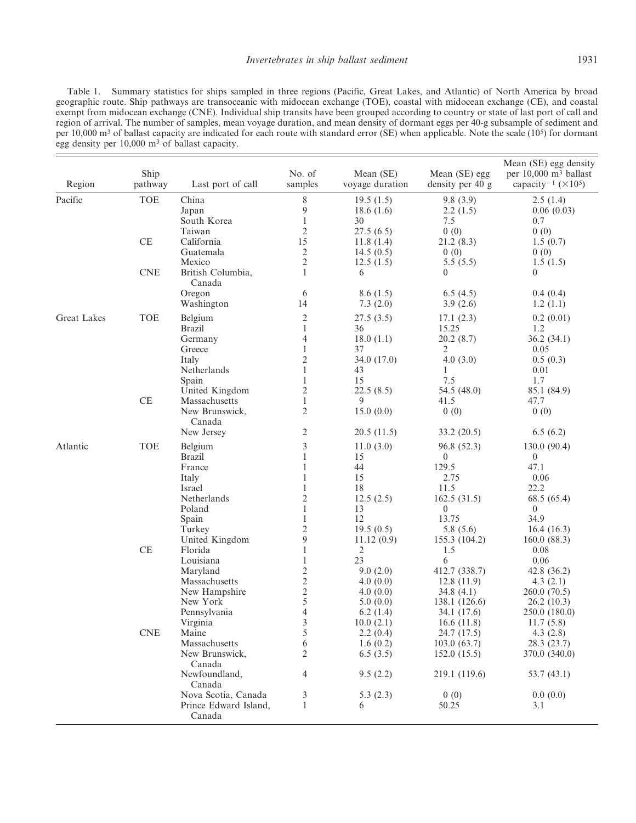Table 1. Summary statistics for ships sampled in three regions (Pacific, Great Lakes, and Atlantic) of North America by broad geographic route. Ship pathways are transoceanic with midocean exchange (TOE), coastal with midocean exchange (CE), and coastal exempt from midocean exchange (CNE). Individual ship transits have been grouped according to country or state of last port of call and region of arrival. The number of samples, mean voyage duration, and mean density of dormant eggs per 40-g subsample of sediment and per 10,000 m3 of ballast capacity are indicated for each route with standard error (SE) when applicable. Note the scale (105) for dormant egg density per 10,000 m3 of ballast capacity.

| Region             | Ship<br>pathway             | Last port of call                                                                                                   | No. of<br>samples                                                                | Mean (SE)<br>voyage duration                                                                  | Mean (SE) egg<br>density per 40 g                                                                                                 | Mean (SE) egg density<br>per 10,000 m <sup>3</sup> ballast<br>capacity <sup><math>-1</math></sup> ( $\times$ 10 <sup>5</sup> ) |
|--------------------|-----------------------------|---------------------------------------------------------------------------------------------------------------------|----------------------------------------------------------------------------------|-----------------------------------------------------------------------------------------------|-----------------------------------------------------------------------------------------------------------------------------------|--------------------------------------------------------------------------------------------------------------------------------|
| Pacific            | <b>TOE</b>                  | China<br>Japan<br>South Korea                                                                                       | 8<br>9<br>1                                                                      | 19.5(1.5)<br>18.6(1.6)<br>30                                                                  | 9.8(3.9)<br>2.2(1.5)<br>7.5                                                                                                       | 2.5(1.4)<br>0.06(0.03)<br>0.7                                                                                                  |
|                    | $\!$ $\!$                   | Taiwan<br>California<br>Guatemala<br>Mexico                                                                         | $\overline{c}$<br>15<br>$\overline{c}$<br>$\overline{c}$                         | 27.5(6.5)<br>11.8(1.4)<br>14.5(0.5)<br>12.5(1.5)                                              | 0(0)<br>21.2(8.3)<br>0(0)<br>5.5(5.5)                                                                                             | 0(0)<br>1.5(0.7)<br>0(0)<br>1.5(1.5)                                                                                           |
|                    | <b>CNE</b>                  | British Columbia,<br>Canada                                                                                         | 1                                                                                | 6                                                                                             | $\overline{0}$                                                                                                                    | $\overline{0}$                                                                                                                 |
|                    |                             | Oregon<br>Washington                                                                                                | 6<br>14                                                                          | 8.6(1.5)<br>7.3(2.0)                                                                          | 6.5(4.5)<br>3.9(2.6)                                                                                                              | 0.4(0.4)<br>1.2(1.1)                                                                                                           |
| <b>Great Lakes</b> | <b>TOE</b>                  | Belgium<br><b>Brazil</b><br>Germany<br>Greece<br>Italy<br>Netherlands<br>Spain<br>United Kingdom                    | 2<br>1<br>4<br>1<br>2<br>1<br>1<br>$\overline{c}$                                | 27.5(3.5)<br>36<br>18.0(1.1)<br>37<br>34.0 (17.0)<br>43<br>15<br>22.5(8.5)                    | 17.1(2.3)<br>15.25<br>20.2(8.7)<br>2<br>4.0(3.0)<br>1<br>7.5<br>54.5 (48.0)                                                       | 0.2(0.01)<br>1.2<br>36.2(34.1)<br>0.05<br>0.5(0.3)<br>0.01<br>1.7<br>85.1 (84.9)                                               |
|                    | CE                          | Massachusetts<br>New Brunswick,<br>Canada<br>New Jersey                                                             | 1<br>2<br>$\overline{c}$                                                         | 9<br>15.0(0.0)<br>20.5(11.5)                                                                  | 41.5<br>0(0)<br>33.2 (20.5)                                                                                                       | 47.7<br>0(0)<br>6.5(6.2)                                                                                                       |
| Atlantic           | <b>TOE</b>                  | Belgium<br><b>Brazil</b><br>France<br>Italy<br>Israel<br>Netherlands<br>Poland<br>Spain<br>Turkey<br>United Kingdom | 3<br>1<br>1<br>1<br>1<br>2<br>1<br>1<br>$\overline{c}$<br>9                      | 11.0(3.0)<br>15<br>44<br>15<br>18<br>12.5(2.5)<br>13<br>12<br>19.5(0.5)<br>11.12(0.9)         | 96.8 (52.3)<br>$\boldsymbol{0}$<br>129.5<br>2.75<br>11.5<br>162.5(31.5)<br>$\boldsymbol{0}$<br>13.75<br>5.8(5.6)<br>155.3 (104.2) | 130.0(90.4)<br>$\overline{0}$<br>47.1<br>0.06<br>22.2<br>68.5 (65.4)<br>$\overline{0}$<br>34.9<br>16.4(16.3)<br>160.0(88.3)    |
|                    | CE                          | Florida<br>Louisiana<br>Maryland<br>Massachusetts<br>New Hampshire<br>New York<br>Pennsylvania<br>Virginia          | 1<br>1<br>$\overline{c}$<br>$\overline{c}$<br>$rac{2}{5}$<br>$\overline{4}$<br>3 | $\overline{c}$<br>23<br>9.0(2.0)<br>4.0(0.0)<br>4.0(0.0)<br>5.0(0.0)<br>6.2(1.4)<br>10.0(2.1) | 1.5<br>6<br>412.7 (338.7)<br>12.8(11.9)<br>34.8(4.1)<br>138.1 (126.6)<br>34.1 (17.6)<br>16.6(11.8)                                | 0.08<br>0.06<br>42.8 (36.2)<br>4.3 $(2.1)$<br>260.0 (70.5)<br>26.2(10.3)<br>250.0 (180.0)<br>11.7(5.8)                         |
|                    | $\ensuremath{\mathrm{CNE}}$ | Maine<br>Massachusetts<br>New Brunswick,<br>Canada<br>Newfoundland,                                                 | 5<br>6<br>2<br>4                                                                 | 2.2(0.4)<br>1.6(0.2)<br>6.5(3.5)<br>9.5(2.2)                                                  | 24.7 (17.5)<br>103.0(63.7)<br>152.0(15.5)<br>219.1 (119.6)                                                                        | 4.3(2.8)<br>28.3 (23.7)<br>370.0 (340.0)<br>53.7 $(43.1)$                                                                      |
|                    |                             | Canada<br>Nova Scotia, Canada                                                                                       | 3                                                                                | 5.3(2.3)                                                                                      | 0(0)                                                                                                                              | 0.0(0.0)                                                                                                                       |
|                    |                             | Prince Edward Island,<br>Canada                                                                                     | 1                                                                                | 6                                                                                             | 50.25                                                                                                                             | 3.1                                                                                                                            |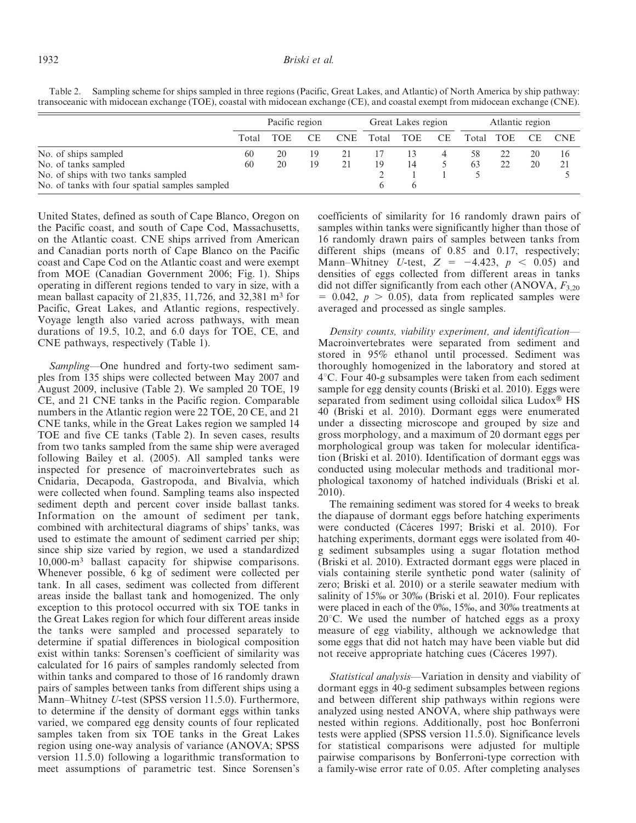Table 2. Sampling scheme for ships sampled in three regions (Pacific, Great Lakes, and Atlantic) of North America by ship pathway: transoceanic with midocean exchange (TOE), coastal with midocean exchange (CE), and coastal exempt from midocean exchange (CNE).

|                                                             |       | Pacific region |    |            |       | Great Lakes region |           | Atlantic region |     |           |            |
|-------------------------------------------------------------|-------|----------------|----|------------|-------|--------------------|-----------|-----------------|-----|-----------|------------|
|                                                             | Total | TOE            | CE | <b>CNE</b> | Total | <b>TOE</b>         | <b>CE</b> | Total           | TOE | <b>CE</b> | <b>CNE</b> |
| No. of ships sampled                                        | 60    | 20             | 19 | 21         |       | 13                 |           | 58              |     | 20        | 16         |
| No. of tanks sampled<br>No. of ships with two tanks sampled | 60    | 20             | 19 | 21         | 19    | 14                 |           | 63              | 22  | 20        | 21         |
| No. of tanks with four spatial samples sampled              |       |                |    |            |       |                    |           |                 |     |           |            |

United States, defined as south of Cape Blanco, Oregon on the Pacific coast, and south of Cape Cod, Massachusetts, on the Atlantic coast. CNE ships arrived from American and Canadian ports north of Cape Blanco on the Pacific coast and Cape Cod on the Atlantic coast and were exempt from MOE (Canadian Government 2006; Fig. 1). Ships operating in different regions tended to vary in size, with a mean ballast capacity of 21,835, 11,726, and 32,381 m3 for Pacific, Great Lakes, and Atlantic regions, respectively. Voyage length also varied across pathways, with mean durations of 19.5, 10.2, and 6.0 days for TOE, CE, and CNE pathways, respectively (Table 1).

Sampling—One hundred and forty-two sediment samples from 135 ships were collected between May 2007 and August 2009, inclusive (Table 2). We sampled 20 TOE, 19 CE, and 21 CNE tanks in the Pacific region. Comparable numbers in the Atlantic region were 22 TOE, 20 CE, and 21 CNE tanks, while in the Great Lakes region we sampled 14 TOE and five CE tanks (Table 2). In seven cases, results from two tanks sampled from the same ship were averaged following Bailey et al. (2005). All sampled tanks were inspected for presence of macroinvertebrates such as Cnidaria, Decapoda, Gastropoda, and Bivalvia, which were collected when found. Sampling teams also inspected sediment depth and percent cover inside ballast tanks. Information on the amount of sediment per tank, combined with architectural diagrams of ships' tanks, was used to estimate the amount of sediment carried per ship; since ship size varied by region, we used a standardized 10,000-m3 ballast capacity for shipwise comparisons. Whenever possible, 6 kg of sediment were collected per tank. In all cases, sediment was collected from different areas inside the ballast tank and homogenized. The only exception to this protocol occurred with six TOE tanks in the Great Lakes region for which four different areas inside the tanks were sampled and processed separately to determine if spatial differences in biological composition exist within tanks: Sorensen's coefficient of similarity was calculated for 16 pairs of samples randomly selected from within tanks and compared to those of 16 randomly drawn pairs of samples between tanks from different ships using a Mann–Whitney U-test (SPSS version 11.5.0). Furthermore, to determine if the density of dormant eggs within tanks varied, we compared egg density counts of four replicated samples taken from six TOE tanks in the Great Lakes region using one-way analysis of variance (ANOVA; SPSS version 11.5.0) following a logarithmic transformation to meet assumptions of parametric test. Since Sorensen's coefficients of similarity for 16 randomly drawn pairs of samples within tanks were significantly higher than those of 16 randomly drawn pairs of samples between tanks from different ships (means of 0.85 and 0.17, respectively; Mann–Whitney U-test,  $Z = -4.423$ ,  $p < 0.05$ ) and densities of eggs collected from different areas in tanks did not differ significantly from each other (ANOVA,  $F_{3,20}$  $= 0.042, p > 0.05$ , data from replicated samples were averaged and processed as single samples.

Density counts, viability experiment, and identification— Macroinvertebrates were separated from sediment and stored in 95% ethanol until processed. Sediment was thoroughly homogenized in the laboratory and stored at  $4^{\circ}$ C. Four 40-g subsamples were taken from each sediment sample for egg density counts (Briski et al. 2010). Eggs were separated from sediment using colloidal silica  $Ludox^@$  HS 40 (Briski et al. 2010). Dormant eggs were enumerated under a dissecting microscope and grouped by size and gross morphology, and a maximum of 20 dormant eggs per morphological group was taken for molecular identification (Briski et al. 2010). Identification of dormant eggs was conducted using molecular methods and traditional morphological taxonomy of hatched individuals (Briski et al. 2010).

The remaining sediment was stored for 4 weeks to break the diapause of dormant eggs before hatching experiments were conducted (Cáceres 1997; Briski et al. 2010). For hatching experiments, dormant eggs were isolated from 40 g sediment subsamples using a sugar flotation method (Briski et al. 2010). Extracted dormant eggs were placed in vials containing sterile synthetic pond water (salinity of zero; Briski et al. 2010) or a sterile seawater medium with salinity of 15‰ or 30‰ (Briski et al. 2010). Four replicates were placed in each of the 0%, 15%, and 30% treatments at  $20^{\circ}$ C. We used the number of hatched eggs as a proxy measure of egg viability, although we acknowledge that some eggs that did not hatch may have been viable but did not receive appropriate hatching cues (Cáceres 1997).

Statistical analysis—Variation in density and viability of dormant eggs in 40-g sediment subsamples between regions and between different ship pathways within regions were analyzed using nested ANOVA, where ship pathways were nested within regions. Additionally, post hoc Bonferroni tests were applied (SPSS version 11.5.0). Significance levels for statistical comparisons were adjusted for multiple pairwise comparisons by Bonferroni-type correction with a family-wise error rate of 0.05. After completing analyses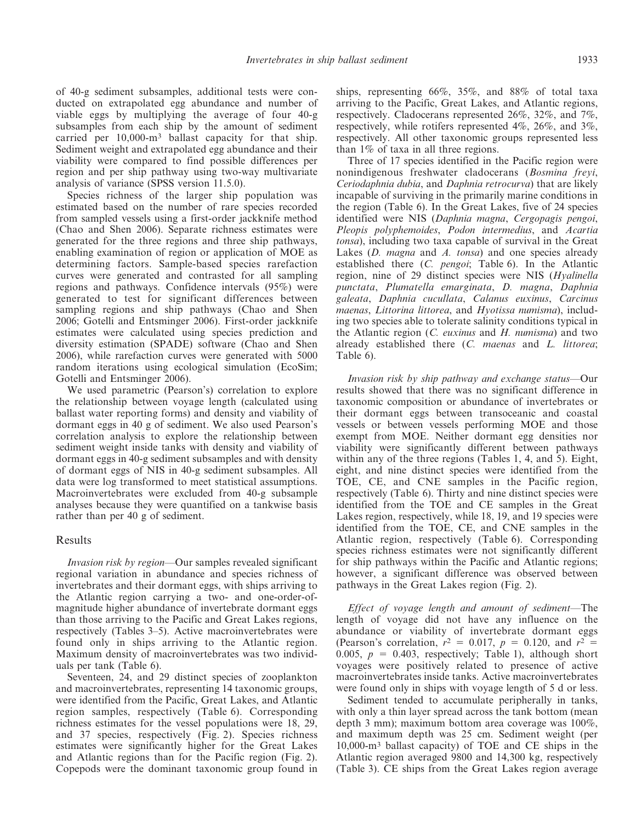of 40-g sediment subsamples, additional tests were conducted on extrapolated egg abundance and number of viable eggs by multiplying the average of four 40-g subsamples from each ship by the amount of sediment carried per 10,000-m3 ballast capacity for that ship. Sediment weight and extrapolated egg abundance and their viability were compared to find possible differences per region and per ship pathway using two-way multivariate analysis of variance (SPSS version 11.5.0).

Species richness of the larger ship population was estimated based on the number of rare species recorded from sampled vessels using a first-order jackknife method (Chao and Shen 2006). Separate richness estimates were generated for the three regions and three ship pathways, enabling examination of region or application of MOE as determining factors. Sample-based species rarefaction curves were generated and contrasted for all sampling regions and pathways. Confidence intervals (95%) were generated to test for significant differences between sampling regions and ship pathways (Chao and Shen 2006; Gotelli and Entsminger 2006). First-order jackknife estimates were calculated using species prediction and diversity estimation (SPADE) software (Chao and Shen 2006), while rarefaction curves were generated with 5000 random iterations using ecological simulation (EcoSim; Gotelli and Entsminger 2006).

We used parametric (Pearson's) correlation to explore the relationship between voyage length (calculated using ballast water reporting forms) and density and viability of dormant eggs in 40 g of sediment. We also used Pearson's correlation analysis to explore the relationship between sediment weight inside tanks with density and viability of dormant eggs in 40-g sediment subsamples and with density of dormant eggs of NIS in 40-g sediment subsamples. All data were log transformed to meet statistical assumptions. Macroinvertebrates were excluded from 40-g subsample analyses because they were quantified on a tankwise basis rather than per 40 g of sediment.

## Results

Invasion risk by region—Our samples revealed significant regional variation in abundance and species richness of invertebrates and their dormant eggs, with ships arriving to the Atlantic region carrying a two- and one-order-ofmagnitude higher abundance of invertebrate dormant eggs than those arriving to the Pacific and Great Lakes regions, respectively (Tables 3–5). Active macroinvertebrates were found only in ships arriving to the Atlantic region. Maximum density of macroinvertebrates was two individuals per tank (Table 6).

Seventeen, 24, and 29 distinct species of zooplankton and macroinvertebrates, representing 14 taxonomic groups, were identified from the Pacific, Great Lakes, and Atlantic region samples, respectively (Table 6). Corresponding richness estimates for the vessel populations were 18, 29, and 37 species, respectively (Fig. 2). Species richness estimates were significantly higher for the Great Lakes and Atlantic regions than for the Pacific region (Fig. 2). Copepods were the dominant taxonomic group found in

ships, representing 66%, 35%, and 88% of total taxa arriving to the Pacific, Great Lakes, and Atlantic regions, respectively. Cladocerans represented 26%, 32%, and 7%, respectively, while rotifers represented 4%, 26%, and 3%, respectively. All other taxonomic groups represented less than 1% of taxa in all three regions.

Three of 17 species identified in the Pacific region were nonindigenous freshwater cladocerans (Bosmina freyi, Ceriodaphnia dubia, and Daphnia retrocurva) that are likely incapable of surviving in the primarily marine conditions in the region (Table 6). In the Great Lakes, five of 24 species identified were NIS (Daphnia magna, Cergopagis pengoi, Pleopis polyphemoides, Podon intermedius, and Acartia tonsa), including two taxa capable of survival in the Great Lakes  $(D. magna$  and  $A. tonsa)$  and one species already established there (C. pengoi; Table 6). In the Atlantic region, nine of 29 distinct species were NIS (Hyalinella punctata, Plumatella emarginata, D. magna, Daphnia galeata, Daphnia cucullata, Calanus euxinus, Carcinus maenas, Littorina littorea, and Hyotissa numisma), including two species able to tolerate salinity conditions typical in the Atlantic region  $(C.$  euxinus and  $H.$  numisma) and two already established there (C. maenas and L. littorea; Table 6).

Invasion risk by ship pathway and exchange status—Our results showed that there was no significant difference in taxonomic composition or abundance of invertebrates or their dormant eggs between transoceanic and coastal vessels or between vessels performing MOE and those exempt from MOE. Neither dormant egg densities nor viability were significantly different between pathways within any of the three regions (Tables 1, 4, and 5). Eight, eight, and nine distinct species were identified from the TOE, CE, and CNE samples in the Pacific region, respectively (Table 6). Thirty and nine distinct species were identified from the TOE and CE samples in the Great Lakes region, respectively, while 18, 19, and 19 species were identified from the TOE, CE, and CNE samples in the Atlantic region, respectively (Table 6). Corresponding species richness estimates were not significantly different for ship pathways within the Pacific and Atlantic regions; however, a significant difference was observed between pathways in the Great Lakes region (Fig. 2).

Effect of voyage length and amount of sediment—The length of voyage did not have any influence on the abundance or viability of invertebrate dormant eggs (Pearson's correlation,  $r^2 = 0.017$ ,  $p = 0.120$ , and  $r^2 =$ 0.005,  $p = 0.403$ , respectively; Table 1), although short voyages were positively related to presence of active macroinvertebrates inside tanks. Active macroinvertebrates were found only in ships with voyage length of 5 d or less.

Sediment tended to accumulate peripherally in tanks, with only a thin layer spread across the tank bottom (mean depth 3 mm); maximum bottom area coverage was 100%, and maximum depth was 25 cm. Sediment weight (per 10,000-m3 ballast capacity) of TOE and CE ships in the Atlantic region averaged 9800 and 14,300 kg, respectively (Table 3). CE ships from the Great Lakes region average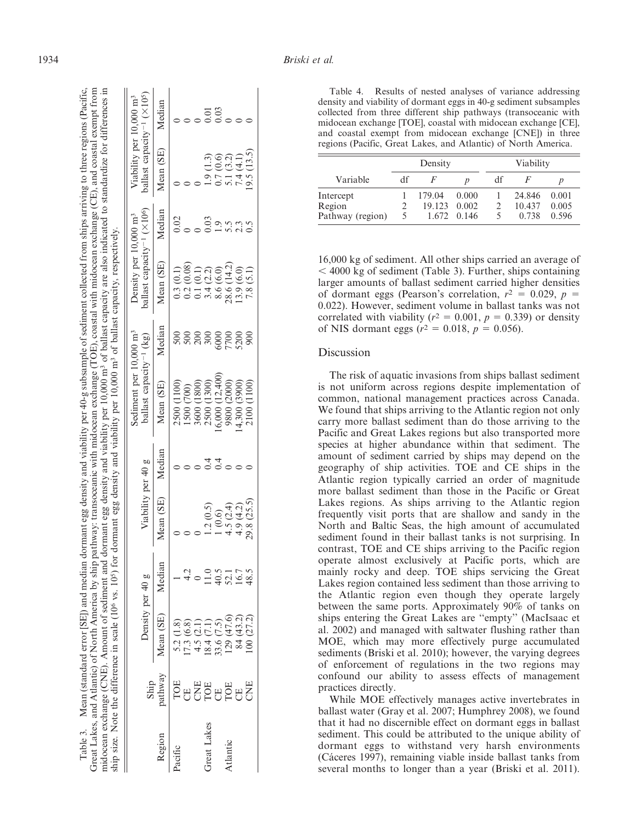|             | Ship             | Density per 40 g |              | Viability per 40 g |        | Sediment per 10,000 m <sup>3</sup><br>ballast capacity <sup>-1</sup> (kg) |                   | ballast capacity <sup>-1</sup> $(X106)$<br>Density per 10,000 m <sup>3</sup> |              | ballast capacity <sup>-1</sup> $(X105)$<br>Viability per 10,000 m <sup>3</sup> |        |
|-------------|------------------|------------------|--------------|--------------------|--------|---------------------------------------------------------------------------|-------------------|------------------------------------------------------------------------------|--------------|--------------------------------------------------------------------------------|--------|
| Region      | pathway          | Mean (SE)        | Median       | Mean (SE)          | Median | Mean (SE)                                                                 | Median            | Mean (SE)                                                                    | Median       | Mean (SE)                                                                      | Median |
| Pacific     | TOE              | 5.2 $(1.8)$      |              |                    |        | 2500 (1100)                                                               | 500               | 0.3(0.1)                                                                     | 0.02         |                                                                                |        |
|             | 5                | 7.3 (6.8         |              |                    |        | 1500 (700)                                                                |                   | (0.08)<br>0.2 <sub>1</sub>                                                   |              |                                                                                |        |
|             | EKC              | 4.5(2.1)         |              |                    |        | (1800)<br>3600                                                            | $\frac{500}{200}$ | $\left(\begin{matrix} 0.1 \end{matrix}\right)$                               |              |                                                                                |        |
| Great Lakes | TOE              | 18.4(7.1)        |              | (0.5)              |        | (1300)<br>2500                                                            | 300               | (2.2)<br>3.4(                                                                | 0.03         | (0.3)                                                                          | 0.01   |
|             | <b>CE</b><br>TOE | 33.6(7.5)        | 40.5         | (0.6)              |        | (12, 400)<br>6,000(                                                       | 000               | 8.6 (6.0)                                                                    | $\ddot{1}$ . | 0.7(0.6)                                                                       | 0.03   |
| Atlantic    |                  | 129 (47.6)       |              | 4.5 (2.4)          |        | 9800 (2000)                                                               | 700               | (14.2)<br>28.6 (                                                             | 5.5          | 5.1 (3.2)                                                                      |        |
|             | <b>U</b>         | 84 (43.2)        | 52.1<br>16.7 | 4.9 (4.2)          |        | 4,300 (3900)                                                              | 5200              | 13.9(6.0)                                                                    | 2.3          | 7.4(4.1)                                                                       |        |
|             | <b>EKD</b>       | 00(27.2)         | $-48.5$      | 29.8 (25.5)        |        | (1100)<br>2100(                                                           |                   | 7.8(5.1)                                                                     | $\sum$       | .9.5(13.5)                                                                     |        |

Table 3. Mean (standard error [SE]) and median dormant egg density and viability per 40-g subsample of sediment collected from ships arriving to three regions (Pacific, Great Lakes, and Atlantic) of North America by ship pathway: transoceanic with midocean exchange (TOE), coastal with midocean exchange (CE), and coastal exempt from

Table 3. Mean (standard error [SE]) and median dormant egg density and viability per 40-g subsample of sediment collected from ships arriving to three regions (Pacific,<br>Great Lakes, and Atlantic) of North America by ship p

Table 4. Results of nested analyses of variance addressing density and viability of dormant eggs in 40-g sediment subsamples collected from three different ship pathways (transoceanic with midocean exchange [TOE], coastal with midocean exchange [CE], and coastal exempt from midocean exchange [CNE]) in three regions (Pacific, Great Lakes, and Atlantic) of North America.

|                  |    | Density |       | Viability |        |       |  |
|------------------|----|---------|-------|-----------|--------|-------|--|
| Variable         | df |         | n     | df        |        |       |  |
| Intercept        |    | 179.04  | 0.000 |           | 24.846 | 0.001 |  |
| Region           |    | 19.123  | 0.002 |           | 10.437 | 0.005 |  |
| Pathway (region) |    | 1.672.  | 0.146 |           | 0.738  | 0.596 |  |

16,000 kg of sediment. All other ships carried an average of  $<$  4000 kg of sediment (Table 3). Further, ships containing larger amounts of ballast sediment carried higher densities of dormant eggs (Pearson's correlation,  $r^2 = 0.029$ ,  $p =$ 0.022). However, sediment volume in ballast tanks was not correlated with viability ( $r^2 = 0.001$ ,  $p = 0.339$ ) or density of NIS dormant eggs ( $r^2 = 0.018$ ,  $p = 0.056$ ).

### Discussion

The risk of aquatic invasions from ships ballast sediment is not uniform across regions despite implementation of common, national management practices across Canada. We found that ships arriving to the Atlantic region not only carry more ballast sediment than do those arriving to the Pacific and Great Lakes regions but also transported more species at higher abundance within that sediment. The amount of sediment carried by ships may depend on the geography of ship activities. TOE and CE ships in the Atlantic region typically carried an order of magnitude more ballast sediment than those in the Pacific or Great Lakes regions. As ships arriving to the Atlantic region frequently visit ports that are shallow and sandy in the North and Baltic Seas, the high amount of accumulated sediment found in their ballast tanks is not surprising. In contrast, TOE and CE ships arriving to the Pacific region operate almost exclusively at Pacific ports, which are mainly rocky and deep. TOE ships servicing the Great Lakes region contained less sediment than those arriving to the Atlantic region even though they operate largely between the same ports. Approximately 90% of tanks on ships entering the Great Lakes are ''empty'' (MacIsaac et al. 2002) and managed with saltwater flushing rather than MOE, which may more effectively purge accumulated sediments (Briski et al. 2010); however, the varying degrees of enforcement of regulations in the two regions may confound our ability to assess effects of management practices directly.

While MOE effectively manages active invertebrates in ballast water (Gray et al. 2007; Humphrey 2008), we found that it had no discernible effect on dormant eggs in ballast sediment. This could be attributed to the unique ability of dormant eggs to withstand very harsh environments (Cáceres 1997), remaining viable inside ballast tanks from several months to longer than a year (Briski et al. 2011).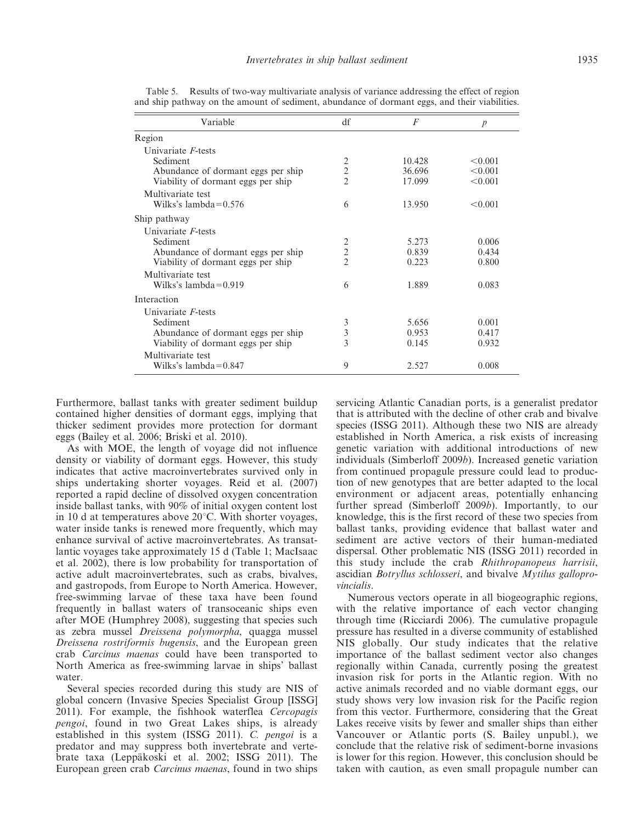| Variable                           | df             | $\overline{F}$ | $\boldsymbol{p}$ |
|------------------------------------|----------------|----------------|------------------|
| Region                             |                |                |                  |
| Univariate <i>F</i> -tests         |                |                |                  |
| Sediment                           | 2              | 10.428         | < 0.001          |
| Abundance of dormant eggs per ship | $\overline{c}$ | 36.696         | < 0.001          |
| Viability of dormant eggs per ship | $\mathfrak{D}$ | 17.099         | < 0.001          |
| Multivariate test                  |                |                |                  |
| Wilks's lambda= $0.576$            | 6              | 13.950         | < 0.001          |
| Ship pathway                       |                |                |                  |
| Univariate F-tests                 |                |                |                  |
| Sediment                           | 2              | 5.273          | 0.006            |
| Abundance of dormant eggs per ship | $\overline{2}$ | 0.839          | 0.434            |
| Viability of dormant eggs per ship | $\overline{2}$ | 0.223          | 0.800            |
| Multivariate test                  |                |                |                  |
| Wilks's lambda= $0.919$            | 6              | 1.889          | 0.083            |
|                                    |                |                |                  |
| Interaction                        |                |                |                  |
| Univariate <i>F</i> -tests         |                |                |                  |
| Sediment                           | 3              | 5.656          | 0.001            |
| Abundance of dormant eggs per ship | 3              | 0.953          | 0.417            |
| Viability of dormant eggs per ship | 3              | 0.145          | 0.932            |
| Multivariate test                  |                |                |                  |
| Wilks's lambda= $0.847$            | 9              | 2.527          | 0.008            |

Table 5. Results of two-way multivariate analysis of variance addressing the effect of region and ship pathway on the amount of sediment, abundance of dormant eggs, and their viabilities.

Furthermore, ballast tanks with greater sediment buildup contained higher densities of dormant eggs, implying that thicker sediment provides more protection for dormant eggs (Bailey et al. 2006; Briski et al. 2010).

As with MOE, the length of voyage did not influence density or viability of dormant eggs. However, this study indicates that active macroinvertebrates survived only in ships undertaking shorter voyages. Reid et al. (2007) reported a rapid decline of dissolved oxygen concentration inside ballast tanks, with 90% of initial oxygen content lost in 10 d at temperatures above  $20^{\circ}$ C. With shorter voyages, water inside tanks is renewed more frequently, which may enhance survival of active macroinvertebrates. As transatlantic voyages take approximately 15 d (Table 1; MacIsaac et al. 2002), there is low probability for transportation of active adult macroinvertebrates, such as crabs, bivalves, and gastropods, from Europe to North America. However, free-swimming larvae of these taxa have been found frequently in ballast waters of transoceanic ships even after MOE (Humphrey 2008), suggesting that species such as zebra mussel Dreissena polymorpha, quagga mussel Dreissena rostriformis bugensis, and the European green crab Carcinus maenas could have been transported to North America as free-swimming larvae in ships' ballast water.

Several species recorded during this study are NIS of global concern (Invasive Species Specialist Group [ISSG] 2011). For example, the fishhook waterflea Cercopagis pengoi, found in two Great Lakes ships, is already established in this system (ISSG 2011). C. pengoi is a predator and may suppress both invertebrate and vertebrate taxa (Leppäkoski et al. 2002; ISSG 2011). The European green crab Carcinus maenas, found in two ships

servicing Atlantic Canadian ports, is a generalist predator that is attributed with the decline of other crab and bivalve species (ISSG 2011). Although these two NIS are already established in North America, a risk exists of increasing genetic variation with additional introductions of new individuals (Simberloff 2009b). Increased genetic variation from continued propagule pressure could lead to production of new genotypes that are better adapted to the local environment or adjacent areas, potentially enhancing further spread (Simberloff 2009b). Importantly, to our knowledge, this is the first record of these two species from ballast tanks, providing evidence that ballast water and sediment are active vectors of their human-mediated dispersal. Other problematic NIS (ISSG 2011) recorded in this study include the crab Rhithropanopeus harrisii, ascidian Botryllus schlosseri, and bivalve Mytilus galloprovincialis.

Numerous vectors operate in all biogeographic regions, with the relative importance of each vector changing through time (Ricciardi 2006). The cumulative propagule pressure has resulted in a diverse community of established NIS globally. Our study indicates that the relative importance of the ballast sediment vector also changes regionally within Canada, currently posing the greatest invasion risk for ports in the Atlantic region. With no active animals recorded and no viable dormant eggs, our study shows very low invasion risk for the Pacific region from this vector. Furthermore, considering that the Great Lakes receive visits by fewer and smaller ships than either Vancouver or Atlantic ports (S. Bailey unpubl.), we conclude that the relative risk of sediment-borne invasions is lower for this region. However, this conclusion should be taken with caution, as even small propagule number can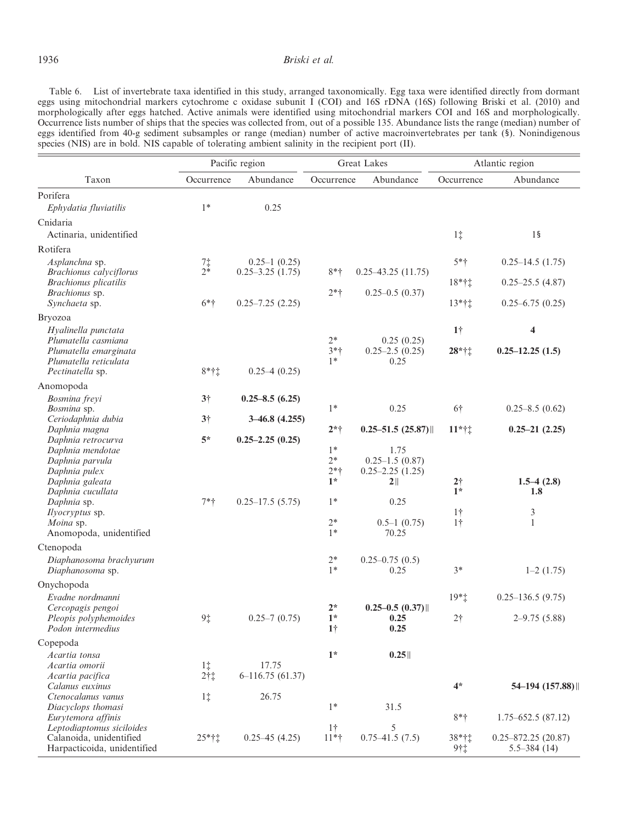# 1936 Briski et al.

Table 6. List of invertebrate taxa identified in this study, arranged taxonomically. Egg taxa were identified directly from dormant eggs using mitochondrial markers cytochrome c oxidase subunit I (COI) and 16S rDNA (16S) following Briski et al. (2010) and morphologically after eggs hatched. Active animals were identified using mitochondrial markers COI and 16S and morphologically. Occurrence lists number of ships that the species was collected from, out of a possible 135. Abundance lists the range (median) number of eggs identified from 40-g sediment subsamples or range (median) number of active macroinvertebrates per tank (§). Nonindigenous species (NIS) are in bold. NIS capable of tolerating ambient salinity in the recipient port (II).

|                                                         |                  | Pacific region       |                          | <b>Great Lakes</b>                            |                                  | Atlantic region                |
|---------------------------------------------------------|------------------|----------------------|--------------------------|-----------------------------------------------|----------------------------------|--------------------------------|
| Taxon                                                   | Occurrence       | Abundance            | Occurrence               | Abundance                                     | Occurrence                       | Abundance                      |
| Porifera                                                |                  |                      |                          |                                               |                                  |                                |
| Ephydatia fluviatilis                                   | $1*$             | 0.25                 |                          |                                               |                                  |                                |
| Cnidaria                                                |                  |                      |                          |                                               |                                  |                                |
| Actinaria, unidentified                                 |                  |                      |                          |                                               | $1\ddagger$                      | $1\bar{s}$                     |
| Rotifera                                                |                  |                      |                          |                                               |                                  |                                |
| Asplanchna sp.                                          | 7‡               | $0.25-1(0.25)$       |                          |                                               | $5*+$                            | $0.25 - 14.5$ (1.75)           |
| Brachionus calyciflorus<br><b>Brachionus</b> plicatilis | $2*$             | $0.25 - 3.25$ (1.75) | $8*+$                    | $0.25 - 43.25$ (11.75)                        | 18*†‡                            | $0.25 - 25.5$ (4.87)           |
| Brachionus sp.                                          |                  |                      | $2*+$                    | $0.25 - 0.5$ $(0.37)$                         |                                  |                                |
| Synchaeta sp.                                           | $6*+$            | $0.25 - 7.25$ (2.25) |                          |                                               | $13*11$                          | $0.25 - 6.75(0.25)$            |
| <b>Bryozoa</b>                                          |                  |                      |                          |                                               |                                  |                                |
| Hyalinella punctata                                     |                  |                      |                          |                                               | 1 <sup>†</sup>                   | 4                              |
| Plumatella casmiana<br>Plumatella emarginata            |                  |                      | $2*$<br>$3*+$            | 0.25(0.25)<br>$0.25 - 2.5(0.25)$              | $28*$ †‡                         | $0.25 - 12.25(1.5)$            |
| Plumatella reticulata                                   |                  |                      | $1*$                     | 0.25                                          |                                  |                                |
| Pectinatella sp.                                        | $8*+1$           | $0.25 - 4(0.25)$     |                          |                                               |                                  |                                |
| Anomopoda                                               |                  |                      |                          |                                               |                                  |                                |
| Bosmina freyi                                           | 3 <sup>†</sup>   | $0.25 - 8.5(6.25)$   |                          |                                               |                                  |                                |
| Bosmina sp.<br>Ceriodaphnia dubia                       | 3 <sup>†</sup>   | $3-46.8$ $(4.255)$   | $1*$                     | 0.25                                          | 6†                               | $0.25 - 8.5(0.62)$             |
| Daphnia magna                                           |                  |                      | $2*+$                    | $0.25 - 51.5$ (25.87)                         | $11*$ †‡                         | $0.25 - 21(2.25)$              |
| Daphnia retrocurva                                      | $5*$             | $0.25 - 2.25(0.25)$  |                          |                                               |                                  |                                |
| Daphnia mendotae                                        |                  |                      | $1*$                     | 1.75                                          |                                  |                                |
| Daphnia parvula<br>Daphnia pulex                        |                  |                      | $2*$<br>$2*+$            | $0.25 - 1.5$ $(0.87)$<br>$0.25 - 2.25$ (1.25) |                                  |                                |
| Daphnia galeata                                         |                  |                      | $1^*$                    | $2\parallel$                                  | $2\dagger$                       | $1.5 - 4(2.8)$                 |
| Daphnia cucullata                                       |                  |                      |                          |                                               | $1*$                             | 1.8                            |
| Daphnia sp.                                             | $7*+$            | $0.25 - 17.5(5.75)$  | $1*$                     | 0.25                                          |                                  |                                |
| Ilyocryptus sp.<br>Moina sp.                            |                  |                      | $2*$                     | $0.5-1(0.75)$                                 | 1 <sup>†</sup><br>1 <sup>†</sup> | $\mathfrak{Z}$<br>$\mathbf{1}$ |
| Anomopoda, unidentified                                 |                  |                      | $1*$                     | 70.25                                         |                                  |                                |
| Ctenopoda                                               |                  |                      |                          |                                               |                                  |                                |
| Diaphanosoma brachyurum                                 |                  |                      | $2*$                     | $0.25 - 0.75(0.5)$                            |                                  |                                |
| Diaphanosoma sp.                                        |                  |                      | $1*$                     | 0.25                                          | $3*$                             | $1-2$ $(1.75)$                 |
| Onychopoda                                              |                  |                      |                          |                                               |                                  |                                |
| Evadne nordmanni                                        |                  |                      |                          |                                               | $19*1$                           | $0.25 - 136.5$ (9.75)          |
| Cercopagis pengoi<br>Pleopis polyphemoides              | 9‡               | $0.25 - 7(0.75)$     | $2^*$<br>$1*$            | $0.25 - 0.5$ $(0.37)$<br>0.25                 | $2\dagger$                       | $2 - 9.75(5.88)$               |
| Podon intermedius                                       |                  |                      | 1 <sup>†</sup>           | 0.25                                          |                                  |                                |
| Copepoda                                                |                  |                      |                          |                                               |                                  |                                |
| Acartia tonsa                                           |                  |                      | $1*$                     | $0.25$                                        |                                  |                                |
| Acartia omorii                                          | $1\ddagger$      | 17.75                |                          |                                               |                                  |                                |
| Acartia pacifica<br>Calanus euxinus                     | $2$ † $\ddagger$ | $6 - 116.75(61.37)$  |                          |                                               | $4*$                             | 54-194 (157.88)                |
| Ctenocalanus vanus                                      | $1\ddagger$      | 26.75                |                          |                                               |                                  |                                |
| Diacyclops thomasi                                      |                  |                      | $1*$                     | 31.5                                          |                                  |                                |
| Eurytemora affinis                                      |                  |                      |                          |                                               | $8*+$                            | $1.75 - 652.5(87.12)$          |
| Leptodiaptomus siciloides<br>Calanoida, unidentified    | 25*†‡            | $0.25 - 45(4.25)$    | 1 <sup>†</sup><br>$11*†$ | 5<br>$0.75 - 41.5(7.5)$                       | 38*††                            | $0.25 - 872.25$ (20.87)        |
| Harpacticoida, unidentified                             |                  |                      |                          |                                               | 9†‡                              | $5.5 - 384(14)$                |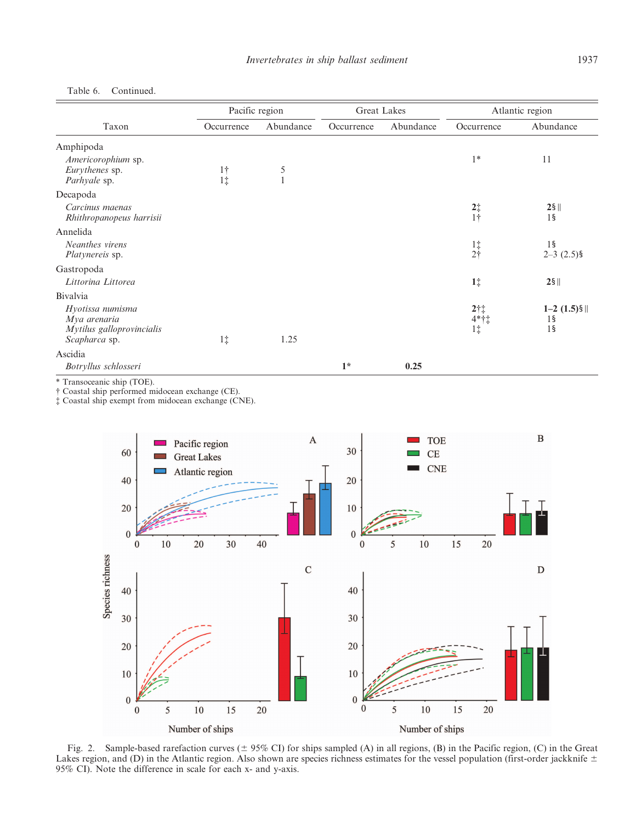# Table 6. Continued.

|                                                                                            | Pacific region            |           | Great Lakes |           | Atlantic region                                        |                                                     |
|--------------------------------------------------------------------------------------------|---------------------------|-----------|-------------|-----------|--------------------------------------------------------|-----------------------------------------------------|
| Taxon                                                                                      | Occurrence                | Abundance | Occurrence  | Abundance | Occurrence                                             | Abundance                                           |
| Amphipoda<br>Americorophium sp.<br>Eurythenes sp.<br>Parhyale sp.                          | $1\dagger$<br>$1\ddagger$ | 5         |             |           | $1*$                                                   | 11                                                  |
| Decapoda<br>Carcinus maenas<br>Rhithropanopeus harrisii                                    |                           |           |             |           | $\begin{array}{c} 2 \\ 1 \\ 1 \end{array}$             | $2\$ $\parallel$<br>$1\bar{s}$                      |
| Annelida<br>Neanthes virens<br>Platynereis sp.                                             |                           |           |             |           | $\begin{array}{c} 1 \ddagger \\ 2 \dagger \end{array}$ | $1\overline{5}$<br>$2-3$ $(2.5)$ §                  |
| Gastropoda<br>Littorina Littorea                                                           |                           |           |             |           | $1\ddagger$                                            | $2\$ $  $                                           |
| Bivalvia<br>Hyotissa numisma<br>Mya arenaria<br>Mytilus galloprovincialis<br>Scapharca sp. | $1\ddagger$               | 1.25      |             |           | $2\dagger$<br>$4*\dagger$<br>$1\ddagger$               | $1-2$ $(1.5)$ §   <br>$1\bar{s}$<br>$1\overline{5}$ |
| Ascidia<br>Botryllus schlosseri                                                            |                           |           | $1*$        | 0.25      |                                                        |                                                     |

\* Transoceanic ship (TOE).

{ Coastal ship performed midocean exchange (CE).

{ Coastal ship exempt from midocean exchange (CNE).



Fig. 2. Sample-based rarefaction curves ( $\pm$  95% CI) for ships sampled (A) in all regions, (B) in the Pacific region, (C) in the Great Lakes region, and (D) in the Atlantic region. Also shown are species richness estimates for the vessel population (first-order jackknife  $\pm$ 95% CI). Note the difference in scale for each x- and y-axis.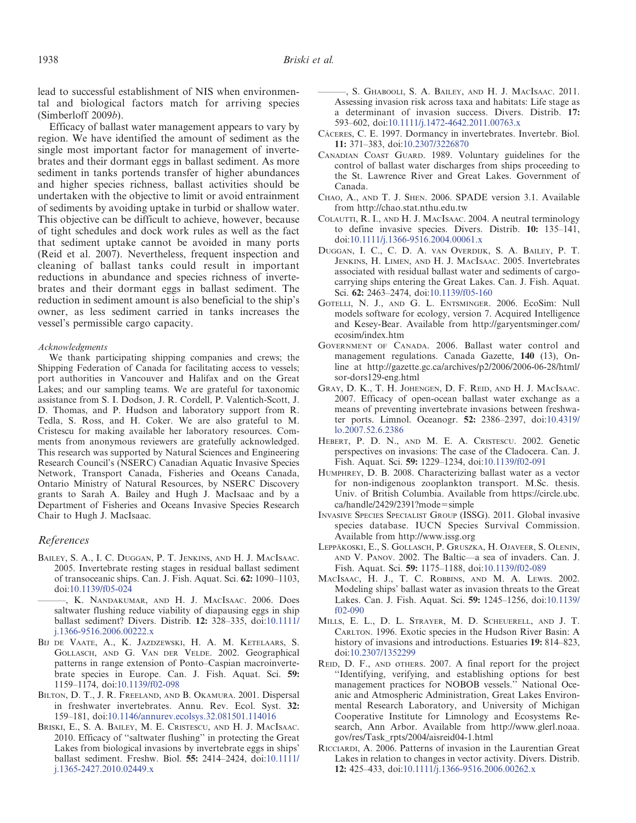lead to successful establishment of NIS when environmental and biological factors match for arriving species (Simberloff 2009b).

Efficacy of ballast water management appears to vary by region. We have identified the amount of sediment as the single most important factor for management of invertebrates and their dormant eggs in ballast sediment. As more sediment in tanks portends transfer of higher abundances and higher species richness, ballast activities should be undertaken with the objective to limit or avoid entrainment of sediments by avoiding uptake in turbid or shallow water. This objective can be difficult to achieve, however, because of tight schedules and dock work rules as well as the fact that sediment uptake cannot be avoided in many ports (Reid et al. 2007). Nevertheless, frequent inspection and cleaning of ballast tanks could result in important reductions in abundance and species richness of invertebrates and their dormant eggs in ballast sediment. The reduction in sediment amount is also beneficial to the ship's owner, as less sediment carried in tanks increases the vessel's permissible cargo capacity.

#### Acknowledgments

We thank participating shipping companies and crews; the Shipping Federation of Canada for facilitating access to vessels; port authorities in Vancouver and Halifax and on the Great Lakes; and our sampling teams. We are grateful for taxonomic assistance from S. I. Dodson, J. R. Cordell, P. Valentich-Scott, J. D. Thomas, and P. Hudson and laboratory support from R. Tedla, S. Ross, and H. Coker. We are also grateful to M. Cristescu for making available her laboratory resources. Comments from anonymous reviewers are gratefully acknowledged. This research was supported by Natural Sciences and Engineering Research Council's (NSERC) Canadian Aquatic Invasive Species Network, Transport Canada, Fisheries and Oceans Canada, Ontario Ministry of Natural Resources, by NSERC Discovery grants to Sarah A. Bailey and Hugh J. MacIsaac and by a Department of Fisheries and Oceans Invasive Species Research Chair to Hugh J. MacIsaac.

#### References

- BAILEY, S. A., I. C. DUGGAN, P. T. JENKINS, AND H. J. MACISAAC. 2005. Invertebrate resting stages in residual ballast sediment of transoceanic ships. Can. J. Fish. Aquat. Sci. 62: 1090–110[3,](http://dx.doi.org/10.1139%2Ff05-024) [doi:10.1139/f05-024](http://dx.doi.org/10.1139%2Ff05-024)
- , K. NANDAKUMAR, AND H. J. MACISAAC. 2006. Does saltwater flushing reduce viability of diapausing eggs in ship ballast sediment? Divers. Distrib. 12: 328–33[5, doi:10.1111/](http://dx.doi.org/10.1111%2Fj.1366-9516.2006.00222.x) [j.1366-9516.2006.00222.x](http://dx.doi.org/10.1111%2Fj.1366-9516.2006.00222.x)
- BIJ DE VAATE, A., K. JAZDZEWSKI, H. A. M. KETELAARS, S. GOLLASCH, AND G. VAN DER VELDE. 2002. Geographical patterns in range extension of Ponto–Caspian macroinvertebrate species in Europe. Can. J. Fish. Aquat. Sci. 59: 1159–1174[, doi:10.1139/f02-098](http://dx.doi.org/10.1139%2Ff02-098)
- BILTON, D. T., J. R. FREELAND, AND B. OKAMURA. 2001. Dispersal in freshwater invertebrates. Annu. Rev. Ecol. Syst. 32: 159–181[, doi:10.1146/annurev.ecolsys.32.081501.114016](http://dx.doi.org/10.1146%2Fannurev.ecolsys.32.081501.114016)
- BRISKI, E., S. A. BAILEY, M. E. CRISTESCU, AND H. J. MACISAAC. 2010. Efficacy of ''saltwater flushing'' in protecting the Great Lakes from biological invasions by invertebrate eggs in ships' ballast sediment. Freshw. Biol. 55: 2414–242[4, doi:10.1111/](http://dx.doi.org/10.1111%2Fj.1365-2427.2010.02449.x) [j.1365-2427.2010.02449.x](http://dx.doi.org/10.1111%2Fj.1365-2427.2010.02449.x)

———, S. GHABOOLI, S. A. BAILEY, AND H. J. MACISAAC. 2011. Assessing invasion risk across taxa and habitats: Life stage as a determinant of invasion success. Divers. Distrib. 17: 593–602[, doi:10.1111/j.1472-4642.2011.00763.x](http://dx.doi.org/10.1111%2Fj.1472-4642.2011.00763.x)

- CACERES, C. E. 1997. Dormancy in invertebrates. Invertebr. Biol. 11: 371–38[3, doi:10.2307/3226870](http://dx.doi.org/10.2307%2F3226870)
- CANADIAN COAST GUARD. 1989. Voluntary guidelines for the control of ballast water discharges from ships proceeding to the St. Lawrence River and Great Lakes. Government of Canada.
- CHAO, A., AND T. J. SHEN. 2006. SPADE version 3.1. Available from<http://chao.stat.nthu.edu.tw>
- COLAUTTI, R. I., AND H. J. MACISAAC. 2004. A neutral terminology to define invasive species. Divers. Distrib. 10: 135–141[,](http://dx.doi.org/10.1111%2Fj.1366-9516.2004.00061.x) [doi:10.1111/j.1366-9516.2004.00061.x](http://dx.doi.org/10.1111%2Fj.1366-9516.2004.00061.x)
- DUGGAN, I. C., C. D. A. VAN OVERDIJK, S. A. BAILEY, P. T. JENKINS, H. LIMEN, AND H. J. MACISAAC. 2005. Invertebrates associated with residual ballast water and sediments of cargocarrying ships entering the Great Lakes. Can. J. Fish. Aquat. Sci. 62: 2463–2474[, doi:10.1139/f05-160](http://dx.doi.org/10.1139%2Ff05-160)
- GOTELLI, N. J., AND G. L. ENTSMINGER. 2006. EcoSim: Null models software for ecology, version 7. Acquired Intelligence and Kesey-Bear. Available from [http://garyentsminger.com/](http://garyentsminger.com/ecosim/index.htm) [ecosim/index.htm](http://garyentsminger.com/ecosim/index.htm)
- GOVERNMENT OF CANADA. 2006. Ballast water control and management regulations. Canada Gazette, 140 (13), Online at [http://gazette.gc.ca/archives/p2/2006/2006-06-28/html/](http://gazette.gc.ca/archives/p2/2006/2006-06-28/html/sor-dors129-eng.html) [sor-dors129-eng.html](http://gazette.gc.ca/archives/p2/2006/2006-06-28/html/sor-dors129-eng.html)
- GRAY, D. K., T. H. JOHENGEN, D. F. REID, AND H. J. MACISAAC. 2007. Efficacy of open-ocean ballast water exchange as a means of preventing invertebrate invasions between freshwater ports. Limnol. Oceanogr. 52: 2386–2397[, doi:10.4319/](http://dx.doi.org/10.4319%2Flo.2007.52.6.2386) [lo.2007.52.6.2386](http://dx.doi.org/10.4319%2Flo.2007.52.6.2386)
- HEBERT, P. D. N., AND M. E. A. CRISTESCU. 2002. Genetic perspectives on invasions: The case of the Cladocera. Can. J. Fish. Aquat. Sci. 59: 1229–1234[, doi:10.1139/f02-091](http://dx.doi.org/10.1139%2Ff02-091)
- HUMPHREY, D. B. 2008. Characterizing ballast water as a vector for non-indigenous zooplankton transport. M.Sc. thesis. Univ. of British Columbia. Available from [https://circle.ubc.](http://circle.ubc.ca/handle/2429/2391?mode=simple) [ca/handle/2429/2391?mode](http://circle.ubc.ca/handle/2429/2391?mode=simple)=simple
- INVASIVE SPECIES SPECIALIST GROUP (ISSG). 2011. Global invasive species database. IUCN Species Survival Commission. Available from<http://www.issg.org>
- LEPPÄKOSKI, E., S. GOLLASCH, P. GRUSZKA, H. OJAVEER, S. OLENIN, AND V. PANOV. 2002. The Baltic—a sea of invaders. Can. J. Fish. Aquat. Sci. 59: 1175–1188[, doi:10.1139/f02-089](http://dx.doi.org/10.1139%2Ff02-089)
- MACISAAC, H. J., T. C. ROBBINS, AND M. A. LEWIS. 2002. Modeling ships' ballast water as invasion threats to the Great Lakes. Can. J. Fish. Aquat. Sci. 59: 1245–125[6, doi:10.1139/](http://dx.doi.org/10.1139%2Ff02-090) [f02-090](http://dx.doi.org/10.1139%2Ff02-090)
- MILLS, E. L., D. L. STRAYER, M. D. SCHEUERELL, AND J. T. CARLTON. 1996. Exotic species in the Hudson River Basin: A history of invasions and introductions. Estuaries 19: 814–823[,](http://dx.doi.org/10.2307%2F1352299) [doi:10.2307/1352299](http://dx.doi.org/10.2307%2F1352299)
- REID, D. F., AND oTHERS. 2007. A final report for the project ''Identifying, verifying, and establishing options for best management practices for NOBOB vessels.'' National Oceanic and Atmospheric Administration, Great Lakes Environmental Research Laboratory, and University of Michigan Cooperative Institute for Limnology and Ecosystems Research, Ann Arbor. Available from [http://www.glerl.noaa.](http://www.glerl.noaa.gov/res/Task_rpts/2004/aisreid04-1.html) [gov/res/Task\\_rpts/2004/aisreid04-1.html](http://www.glerl.noaa.gov/res/Task_rpts/2004/aisreid04-1.html)
- RICCIARDI, A. 2006. Patterns of invasion in the Laurentian Great Lakes in relation to changes in vector activity. Divers. Distrib. 12: 425–43[3, doi:10.1111/j.1366-9516.2006.00262.x](http://dx.doi.org/10.1111%2Fj.1366-9516.2006.00262.x)